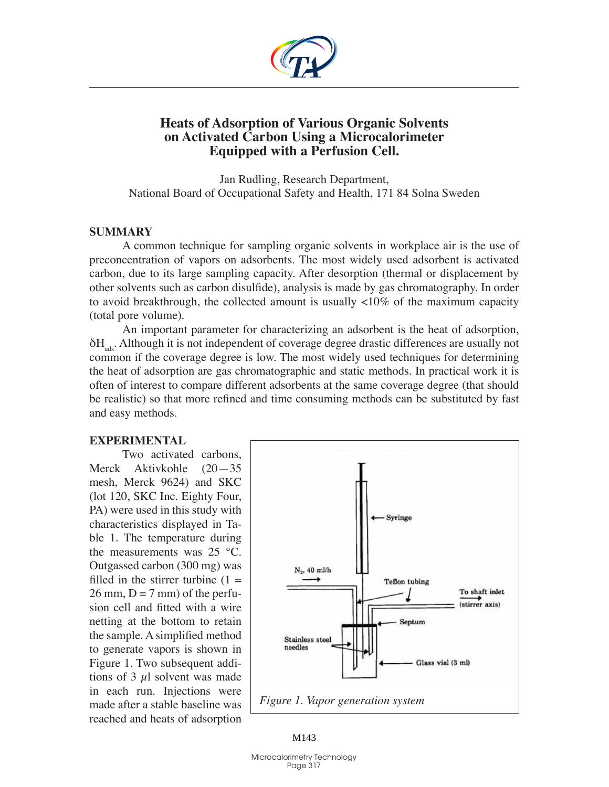

## **Heats of Adsorption of Various Organic Solvents on Activated Carbon Using a Microcalorimeter Equipped with a Perfusion Cell.**

Jan Rudling, Research Department, National Board of Occupational Safety and Health, 171 84 Solna Sweden

## **Summary**

A common technique for sampling organic solvents in workplace air is the use of preconcentration of vapors on adsorbents. The most widely used adsorbent is activated carbon, due to its large sampling capacity. After desorption (thermal or displacement by other solvents such as carbon disulfide), analysis is made by gas chromatography. In order to avoid breakthrough, the collected amount is usually <10% of the maximum capacity (total pore volume).

An important parameter for characterizing an adsorbent is the heat of adsorption,  $\delta H_{\text{obs}}$ . Although it is not independent of coverage degree drastic differences are usually not common if the coverage degree is low. The most widely used techniques for determining the heat of adsorption are gas chromatographic and static methods. In practical work it is often of interest to compare different adsorbents at the same coverage degree (that should be realistic) so that more refined and time consuming methods can be substituted by fast and easy methods.

## **Experimental**

Two activated carbons, Merck Aktivkohle (20—35 mesh, Merck 9624) and SKC (lot 120, SKC Inc. Eighty Four, PA) were used in this study with characteristics displayed in Table 1. The temperature during the measurements was 25 °C. Outgassed carbon (300 mg) was filled in the stirrer turbine  $(1 =$  $26 \text{ mm}$ ,  $D = 7 \text{ mm}$ ) of the perfusion cell and fitted with a wire netting at the bottom to retain the sample. A simplified method to generate vapors is shown in Figure 1. Two subsequent additions of 3  $\mu$ l solvent was made in each run. Injections were made after a stable baseline was reached and heats of adsorption